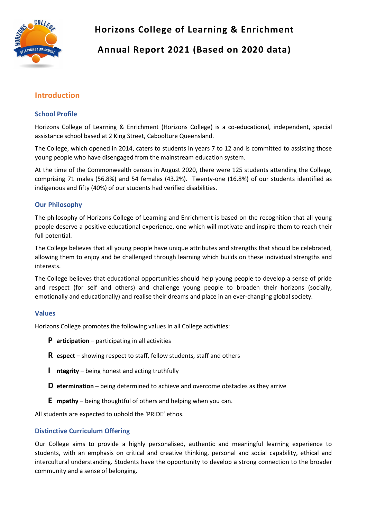

# **Horizons College of Learning & Enrichment**

# **Annual Report 2021 (Based on 2020 data)**

## **Introduction**

## **School Profile**

Horizons College of Learning & Enrichment (Horizons College) is a co-educational, independent, special assistance school based at 2 King Street, Caboolture Queensland.

The College, which opened in 2014, caters to students in years 7 to 12 and is committed to assisting those young people who have disengaged from the mainstream education system.

At the time of the Commonwealth census in August 2020, there were 125 students attending the College, comprising 71 males (56.8%) and 54 females (43.2%). Twenty-one (16.8%) of our students identified as indigenous and fifty (40%) of our students had verified disabilities.

## **Our Philosophy**

The philosophy of Horizons College of Learning and Enrichment is based on the recognition that all young people deserve a positive educational experience, one which will motivate and inspire them to reach their full potential.

The College believes that all young people have unique attributes and strengths that should be celebrated, allowing them to enjoy and be challenged through learning which builds on these individual strengths and interests.

The College believes that educational opportunities should help young people to develop a sense of pride and respect (for self and others) and challenge young people to broaden their horizons (socially, emotionally and educationally) and realise their dreams and place in an ever-changing global society.

## **Values**

Horizons College promotes the following values in all College activities:

- **P articipation** participating in all activities
- **R espect** showing respect to staff, fellow students, staff and others
- **I ntegrity**  being honest and acting truthfully
- **D etermination** being determined to achieve and overcome obstacles as they arrive
- **E mpathy** being thoughtful of others and helping when you can.

All students are expected to uphold the 'PRIDE' ethos.

## **Distinctive Curriculum Offering**

Our College aims to provide a highly personalised, authentic and meaningful learning experience to students, with an emphasis on critical and creative thinking, personal and social capability, ethical and intercultural understanding. Students have the opportunity to develop a strong connection to the broader community and a sense of belonging.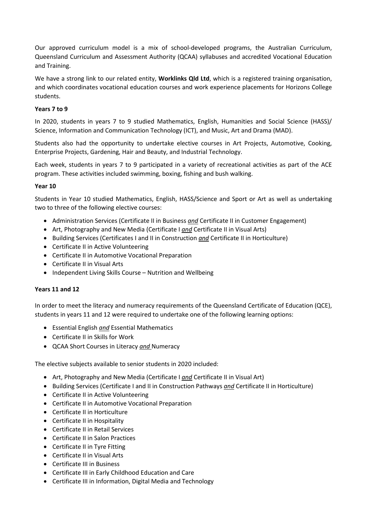Our approved curriculum model is a mix of school-developed programs, the Australian Curriculum, Queensland Curriculum and Assessment Authority (QCAA) syllabuses and accredited Vocational Education and Training.

We have a strong link to our related entity, **Worklinks Qld Ltd**, which is a registered training organisation, and which coordinates vocational education courses and work experience placements for Horizons College students.

### **Years 7 to 9**

In 2020, students in years 7 to 9 studied Mathematics, English, Humanities and Social Science (HASS)/ Science, Information and Communication Technology (ICT), and Music, Art and Drama (MAD).

Students also had the opportunity to undertake elective courses in Art Projects, Automotive, Cooking, Enterprise Projects, Gardening, Hair and Beauty, and Industrial Technology.

Each week, students in years 7 to 9 participated in a variety of recreational activities as part of the ACE program. These activities included swimming, boxing, fishing and bush walking.

#### **Year 10**

Students in Year 10 studied Mathematics, English, HASS/Science and Sport or Art as well as undertaking two to three of the following elective courses:

- Administration Services (Certificate II in Business *and* Certificate II in Customer Engagement)
- Art, Photography and New Media (Certificate I *and* Certificate II in Visual Arts)
- Building Services (Certificates I and II in Construction *and* Certificate II in Horticulture)
- Certificate II in Active Volunteering
- Certificate II in Automotive Vocational Preparation
- Certificate II in Visual Arts
- Independent Living Skills Course Nutrition and Wellbeing

## **Years 11 and 12**

In order to meet the literacy and numeracy requirements of the Queensland Certificate of Education (QCE), students in years 11 and 12 were required to undertake one of the following learning options:

- Essential English *and* Essential Mathematics
- Certificate II in Skills for Work
- QCAA Short Courses in Literacy *and* Numeracy

The elective subjects available to senior students in 2020 included:

- Art, Photography and New Media (Certificate I *and* Certificate II in Visual Art)
- Building Services (Certificate I and II in Construction Pathways *and* Certificate II in Horticulture)
- Certificate II in Active Volunteering
- Certificate II in Automotive Vocational Preparation
- Certificate II in Horticulture
- Certificate II in Hospitality
- Certificate II in Retail Services
- Certificate II in Salon Practices
- Certificate II in Tyre Fitting
- Certificate II in Visual Arts
- Certificate III in Business
- Certificate III in Early Childhood Education and Care
- Certificate III in Information, Digital Media and Technology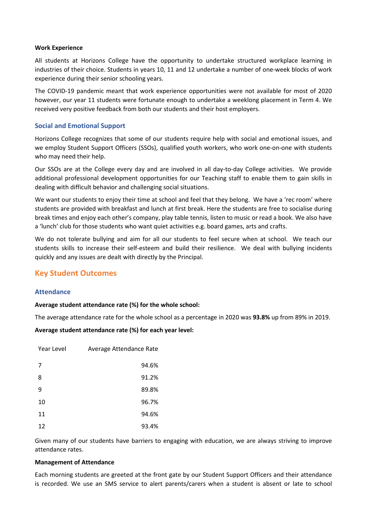#### **Work Experience**

All students at Horizons College have the opportunity to undertake structured workplace learning in industries of their choice. Students in years 10, 11 and 12 undertake a number of one-week blocks of work experience during their senior schooling years.

The COVID-19 pandemic meant that work experience opportunities were not available for most of 2020 however, our year 11 students were fortunate enough to undertake a weeklong placement in Term 4. We received very positive feedback from both our students and their host employers.

## **Social and Emotional Support**

Horizons College recognizes that some of our students require help with social and emotional issues, and we employ Student Support Officers (SSOs), qualified youth workers, who work one-on-one with students who may need their help.

Our SSOs are at the College every day and are involved in all day-to-day College activities. We provide additional professional development opportunities for our Teaching staff to enable them to gain skills in dealing with difficult behavior and challenging social situations.

We want our students to enjoy their time at school and feel that they belong. We have a 'rec room' where students are provided with breakfast and lunch at first break. Here the students are free to socialise during break times and enjoy each other's company, play table tennis, listen to music or read a book. We also have a 'lunch' club for those students who want quiet activities e.g. board games, arts and crafts.

We do not tolerate bullying and aim for all our students to feel secure when at school. We teach our students skills to increase their self-esteem and build their resilience. We deal with bullying incidents quickly and any issues are dealt with directly by the Principal.

## **Key Student Outcomes**

## **Attendance**

#### **Average student attendance rate (%) for the whole school:**

The average attendance rate for the whole school as a percentage in 2020 was **93.8%** up from 89% in 2019.

#### **Average student attendance rate (%) for each year level:**

| Year Level | Average Attendance Rate |
|------------|-------------------------|
| 7          | 94.6%                   |
| 8          | 91.2%                   |
| 9          | 89.8%                   |
| 10         | 96.7%                   |
| 11         | 94.6%                   |
| 12         | 93.4%                   |

Given many of our students have barriers to engaging with education, we are always striving to improve attendance rates.

#### **Management of Attendance**

Each morning students are greeted at the front gate by our Student Support Officers and their attendance is recorded. We use an SMS service to alert parents/carers when a student is absent or late to school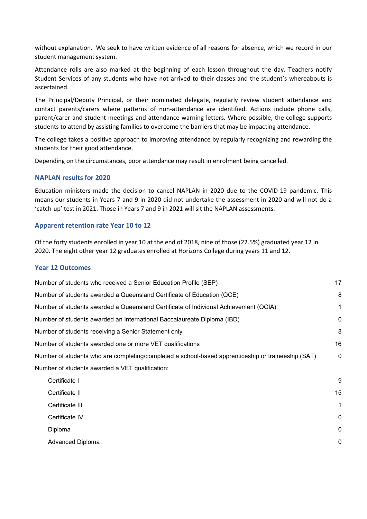without explanation. We seek to have written evidence of all reasons for absence, which we record in our student management system.

Attendance rolls are also marked at the beginning of each lesson throughout the day. Teachers notify Student Services of any students who have not arrived to their classes and the student's whereabouts is ascertained.

The Principal/Deputy Principal, or their nominated delegate, regularly review student attendance and contact parents/carers where patterns of non-attendance are identified. Actions include phone calls, parent/carer and student meetings and attendance warning letters. Where possible, the college supports students to attend by assisting families to overcome the barriers that may be impacting attendance.

The college takes a positive approach to improving attendance by regularly recognizing and rewarding the students for their good attendance.

Depending on the circumstances, poor attendance may result in enrolment being cancelled.

#### **NAPLAN results for 2020**

Education ministers made the decision to cancel NAPLAN in 2020 due to the COVID-19 pandemic. This means our students in Years 7 and 9 in 2020 did not undertake the assessment in 2020 and will not do a 'catch-up' test in 2021. Those in Years 7 and 9 in 2021 will sit the NAPLAN assessments. 

#### **Apparent retention rate Year 10 to 12**

Of the forty students enrolled in year 10 at the end of 2018, nine of those (22.5%) graduated year 12 in 2020. The eight other year 12 graduates enrolled at Horizons College during years 11 and 12.

#### **Year 12 Outcomes**

| Number of students who received a Senior Education Profile (SEP)                                   |             |
|----------------------------------------------------------------------------------------------------|-------------|
| Number of students awarded a Queensland Certificate of Education (QCE)                             | 8           |
| Number of students awarded a Queensland Certificate of Individual Achievement (QCIA)               | 1           |
| Number of students awarded an International Baccalaureate Diploma (IBD)                            | 0           |
| Number of students receiving a Senior Statement only                                               | 8           |
| Number of students awarded one or more VET qualifications                                          | 16          |
| Number of students who are completing/completed a school-based apprenticeship or traineeship (SAT) | 0           |
| Number of students awarded a VET qualification:                                                    |             |
| Certificate I                                                                                      | 9           |
| Certificate II                                                                                     | 15          |
| Certificate III                                                                                    | 1           |
| Certificate IV                                                                                     | $\mathbf 0$ |
| Diploma                                                                                            | $\mathbf 0$ |
| <b>Advanced Diploma</b>                                                                            | 0           |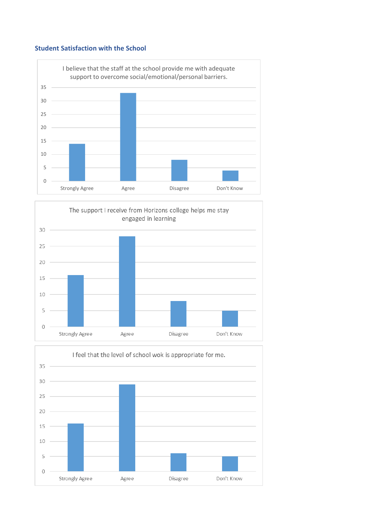## **Student Satisfaction with the School**





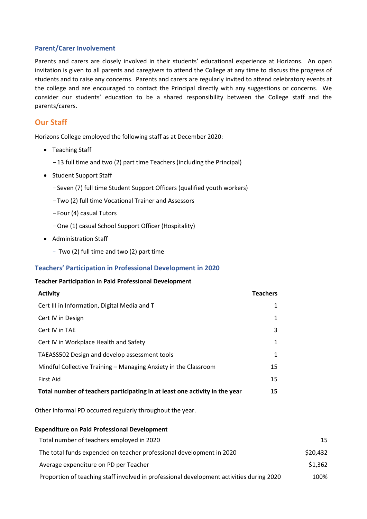#### **Parent/Carer Involvement**

Parents and carers are closely involved in their students' educational experience at Horizons. An open invitation is given to all parents and caregivers to attend the College at any time to discuss the progress of students and to raise any concerns. Parents and carers are regularly invited to attend celebratory events at the college and are encouraged to contact the Principal directly with any suggestions or concerns. We consider our students' education to be a shared responsibility between the College staff and the parents/carers.

## **Our Staff**

Horizons College employed the following staff as at December 2020:

- Teaching Staff
	- -13 full time and two (2) part time Teachers (including the Principal)
- Student Support Staff
	- -Seven (7) full time Student Support Officers (qualified youth workers)
	- -Two (2) full time Vocational Trainer and Assessors
	- -Four (4) casual Tutors
	- -One (1) casual School Support Officer (Hospitality)
- Administration Staff
	- Two (2) full time and two (2) part time

#### **Teachers' Participation in Professional Development in 2020**

#### **Teacher Participation in Paid Professional Development**

| <b>Activity</b>                                                             | <b>Teachers</b> |
|-----------------------------------------------------------------------------|-----------------|
| Cert III in Information, Digital Media and T                                | 1               |
| Cert IV in Design                                                           | 1               |
| Cert IV in TAE                                                              | 3               |
| Cert IV in Workplace Health and Safety                                      | 1               |
| TAEASS502 Design and develop assessment tools                               | 1               |
| Mindful Collective Training – Managing Anxiety in the Classroom             | 15              |
| First Aid                                                                   | 15              |
| Total number of teachers participating in at least one activity in the year | 15              |
|                                                                             |                 |

Other informal PD occurred regularly throughout the year.

| <b>Expenditure on Paid Professional Development</b>                                      |          |  |
|------------------------------------------------------------------------------------------|----------|--|
| Total number of teachers employed in 2020                                                | 15       |  |
| The total funds expended on teacher professional development in 2020                     | \$20,432 |  |
| Average expenditure on PD per Teacher                                                    | \$1,362  |  |
| Proportion of teaching staff involved in professional development activities during 2020 | 100%     |  |